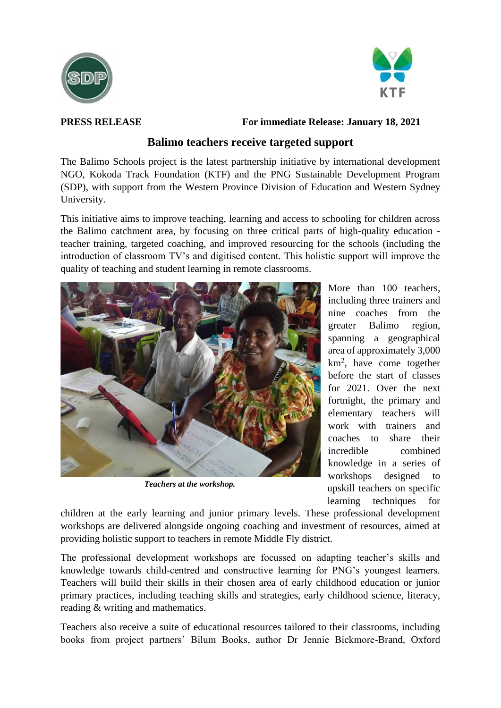



**PRESS RELEASE For immediate Release: January 18, 2021**

## **Balimo teachers receive targeted support**

The Balimo Schools project is the latest partnership initiative by international development NGO, Kokoda Track Foundation (KTF) and the PNG Sustainable Development Program (SDP), with support from the Western Province Division of Education and Western Sydney University.

This initiative aims to improve teaching, learning and access to schooling for children across the Balimo catchment area, by focusing on three critical parts of high-quality education teacher training, targeted coaching, and improved resourcing for the schools (including the introduction of classroom TV's and digitised content. This holistic support will improve the quality of teaching and student learning in remote classrooms.



*Teachers at the workshop.*

More than 100 teachers, including three trainers and nine coaches from the greater Balimo region, spanning a geographical area of approximately 3,000  $km<sup>2</sup>$ , have come together before the start of classes for 2021. Over the next fortnight, the primary and elementary teachers will work with trainers and coaches to share their incredible combined knowledge in a series of workshops designed to upskill teachers on specific learning techniques for

children at the early learning and junior primary levels. These professional development workshops are delivered alongside ongoing coaching and investment of resources, aimed at providing holistic support to teachers in remote Middle Fly district.

The professional development workshops are focussed on adapting teacher's skills and knowledge towards child-centred and constructive learning for PNG's youngest learners. Teachers will build their skills in their chosen area of early childhood education or junior primary practices, including teaching skills and strategies, early childhood science, literacy, reading & writing and mathematics.

Teachers also receive a suite of educational resources tailored to their classrooms, including books from project partners' Bilum Books, author Dr Jennie Bickmore-Brand, Oxford